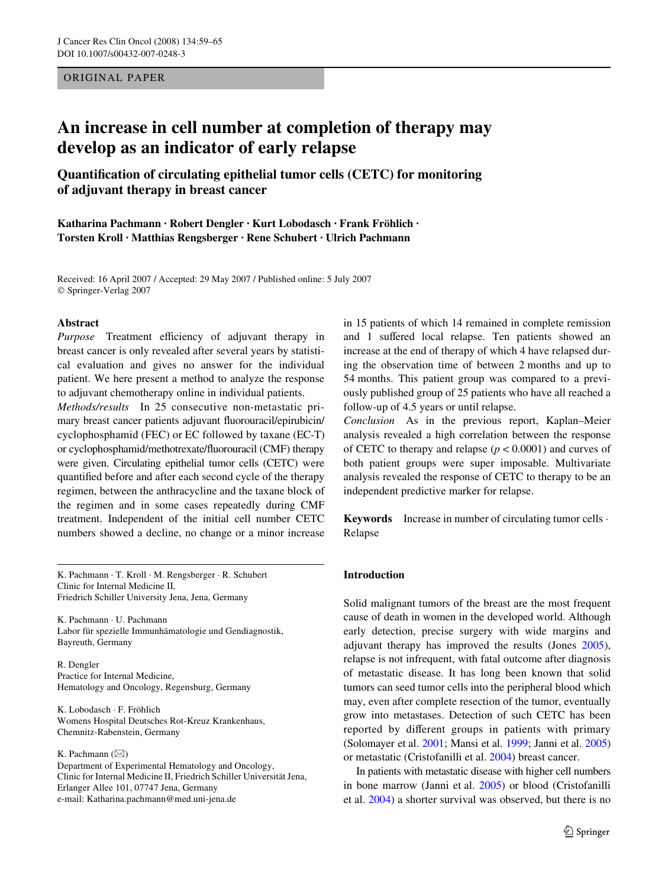ORIGINAL PAPER

# **An increase in cell number at completion of therapy may develop as an indicator of early relapse**

**QuantiWcation of circulating epithelial tumor cells (CETC) for monitoring of adjuvant therapy in breast cancer**

**Katharina Pachmann · Robert Dengler · Kurt Lobodasch · Frank Fröhlich · Torsten Kroll · Matthias Rengsberger · Rene Schubert · Ulrich Pachmann** 

Received: 16 April 2007 / Accepted: 29 May 2007 / Published online: 5 July 2007 © Springer-Verlag 2007

### **Abstract**

Purpose Treatment efficiency of adjuvant therapy in breast cancer is only revealed after several years by statistical evaluation and gives no answer for the individual patient. We here present a method to analyze the response to adjuvant chemotherapy online in individual patients.

*Methods/results* In 25 consecutive non-metastatic primary breast cancer patients adjuvant fluorouracil/epirubicin/ cyclophosphamid (FEC) or EC followed by taxane (EC-T) or cyclophosphamid/methotrexate/fluorouracil (CMF) therapy were given. Circulating epithelial tumor cells (CETC) were quantified before and after each second cycle of the therapy regimen, between the anthracycline and the taxane block of the regimen and in some cases repeatedly during CMF treatment. Independent of the initial cell number CETC numbers showed a decline, no change or a minor increase

K. Pachmann · T. Kroll · M. Rengsberger · R. Schubert Clinic for Internal Medicine II, Friedrich Schiller University Jena, Jena, Germany

K. Pachmann · U. Pachmann Labor für spezielle Immunhämatologie und Gendiagnostik, Bayreuth, Germany

R. Dengler Practice for Internal Medicine, Hematology and Oncology, Regensburg, Germany

K. Lobodasch · F. Fröhlich Womens Hospital Deutsches Rot-Kreuz Krankenhaus, Chemnitz-Rabenstein, Germany

## K. Pachmann  $(\boxtimes)$

Department of Experimental Hematology and Oncology, Clinic for Internal Medicine II, Friedrich Schiller Universität Jena, Erlanger Allee 101, 07747 Jena, Germany e-mail: Katharina.pachmann@med.uni-jena.de

in 15 patients of which 14 remained in complete remission and 1 suffered local relapse. Ten patients showed an increase at the end of therapy of which 4 have relapsed during the observation time of between 2 months and up to 54 months. This patient group was compared to a previously published group of 25 patients who have all reached a follow-up of 4.5 years or until relapse.

*Conclusion* As in the previous report, Kaplan–Meier analysis revealed a high correlation between the response of CETC to therapy and relapse  $(p < 0.0001)$  and curves of both patient groups were super imposable. Multivariate analysis revealed the response of CETC to therapy to be an independent predictive marker for relapse.

**Keywords** Increase in number of circulating tumor cells · Relapse

## **Introduction**

Solid malignant tumors of the breast are the most frequent cause of death in women in the developed world. Although early detection, precise surgery with wide margins and adjuvant therapy has improved the results (Jones [2005\)](#page-5-0), relapse is not infrequent, with fatal outcome after diagnosis of metastatic disease. It has long been known that solid tumors can seed tumor cells into the peripheral blood which may, even after complete resection of the tumor, eventually grow into metastases. Detection of such CETC has been reported by different groups in patients with primary (Solomayer et al. [2001;](#page-6-0) Mansi et al. [1999;](#page-5-1) Janni et al. [2005](#page-5-2)) or metastatic (Cristofanilli et al. [2004](#page-5-3)) breast cancer.

In patients with metastatic disease with higher cell numbers in bone marrow (Janni et al. [2005\)](#page-5-2) or blood (Cristofanilli et al. [2004](#page-5-3)) a shorter survival was observed, but there is no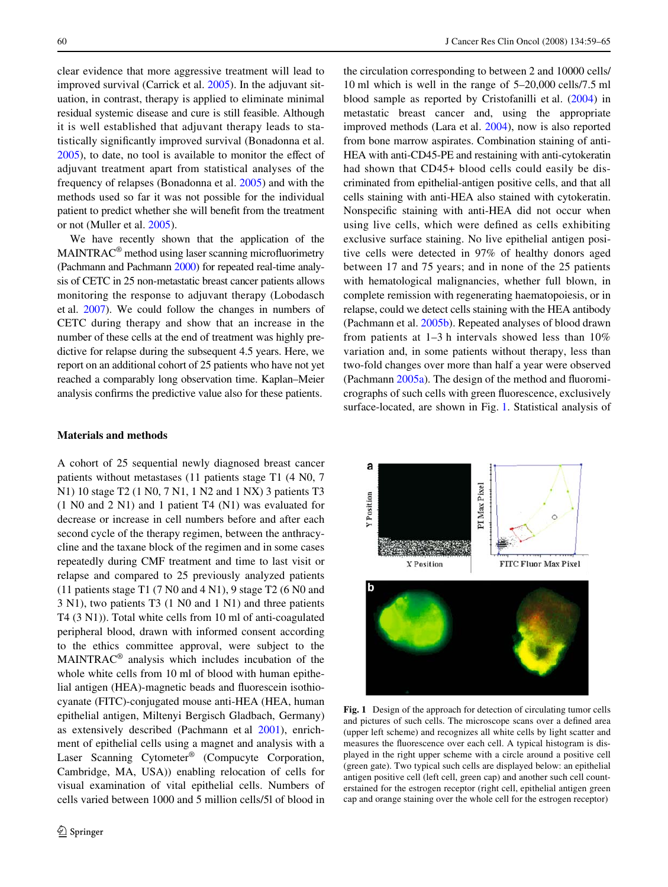clear evidence that more aggressive treatment will lead to improved survival (Carrick et al. [2005\)](#page-5-4). In the adjuvant situation, in contrast, therapy is applied to eliminate minimal residual systemic disease and cure is still feasible. Although it is well established that adjuvant therapy leads to statistically significantly improved survival (Bonadonna et al.  $2005$ ), to date, no tool is available to monitor the effect of adjuvant treatment apart from statistical analyses of the frequency of relapses (Bonadonna et al. [2005\)](#page-5-5) and with the methods used so far it was not possible for the individual patient to predict whether she will benefit from the treatment or not (Muller et al. [2005](#page-6-1)).

We have recently shown that the application of the  $MAINTRAC<sup>®</sup>$  method using laser scanning microfluorimetry (Pachmann and Pachmann [2000\)](#page-6-2) for repeated real-time analysis of CETC in 25 non-metastatic breast cancer patients allows monitoring the response to adjuvant therapy (Lobodasch et al. [2007](#page-5-6)). We could follow the changes in numbers of CETC during therapy and show that an increase in the number of these cells at the end of treatment was highly predictive for relapse during the subsequent 4.5 years. Here, we report on an additional cohort of 25 patients who have not yet reached a comparably long observation time. Kaplan–Meier analysis confirms the predictive value also for these patients.

#### **Materials and methods**

A cohort of 25 sequential newly diagnosed breast cancer patients without metastases (11 patients stage T1 (4 N0, 7 N1) 10 stage T2 (1 N0, 7 N1, 1 N2 and 1 NX) 3 patients T3 (1 N0 and 2 N1) and 1 patient T4 (N1) was evaluated for decrease or increase in cell numbers before and after each second cycle of the therapy regimen, between the anthracycline and the taxane block of the regimen and in some cases repeatedly during CMF treatment and time to last visit or relapse and compared to 25 previously analyzed patients (11 patients stage T1 (7 N0 and 4 N1), 9 stage T2 (6 N0 and 3 N1), two patients T3 (1 N0 and 1 N1) and three patients T4 (3 N1)). Total white cells from 10 ml of anti-coagulated peripheral blood, drawn with informed consent according to the ethics committee approval, were subject to the MAINTRAC® analysis which includes incubation of the whole white cells from 10 ml of blood with human epithelial antigen (HEA)-magnetic beads and fluorescein isothiocyanate (FITC)-conjugated mouse anti-HEA (HEA, human epithelial antigen, Miltenyi Bergisch Gladbach, Germany) as extensively described (Pachmann et al [2001](#page-6-3)), enrichment of epithelial cells using a magnet and analysis with a Laser Scanning Cytometer<sup>®</sup> (Compucyte Corporation, Cambridge, MA, USA)) enabling relocation of cells for visual examination of vital epithelial cells. Numbers of cells varied between 1000 and 5 million cells/5l of blood in

the circulation corresponding to between 2 and 10000 cells/ 10 ml which is well in the range of 5–20,000 cells/7.5 ml blood sample as reported by Cristofanilli et al. [\(2004](#page-5-3)) in metastatic breast cancer and, using the appropriate improved methods (Lara et al. [2004](#page-5-7)), now is also reported from bone marrow aspirates. Combination staining of anti-HEA with anti-CD45-PE and restaining with anti-cytokeratin had shown that CD45+ blood cells could easily be discriminated from epithelial-antigen positive cells, and that all cells staining with anti-HEA also stained with cytokeratin. Nonspecific staining with anti-HEA did not occur when using live cells, which were defined as cells exhibiting exclusive surface staining. No live epithelial antigen positive cells were detected in 97% of healthy donors aged between 17 and 75 years; and in none of the 25 patients with hematological malignancies, whether full blown, in complete remission with regenerating haematopoiesis, or in relapse, could we detect cells staining with the HEA antibody (Pachmann et al. [2005b](#page-6-4)). Repeated analyses of blood drawn from patients at 1–3 h intervals showed less than 10% variation and, in some patients without therapy, less than two-fold changes over more than half a year were observed (Pachmann  $2005a$ ). The design of the method and fluoromicrographs of such cells with green fluorescence, exclusively surface-located, are shown in Fig. [1](#page-1-0). Statistical analysis of



<span id="page-1-0"></span>**Fig. 1** Design of the approach for detection of circulating tumor cells and pictures of such cells. The microscope scans over a defined area (upper left scheme) and recognizes all white cells by light scatter and measures the fluorescence over each cell. A typical histogram is displayed in the right upper scheme with a circle around a positive cell (green gate). Two typical such cells are displayed below: an epithelial antigen positive cell (left cell, green cap) and another such cell counterstained for the estrogen receptor (right cell, epithelial antigen green cap and orange staining over the whole cell for the estrogen receptor)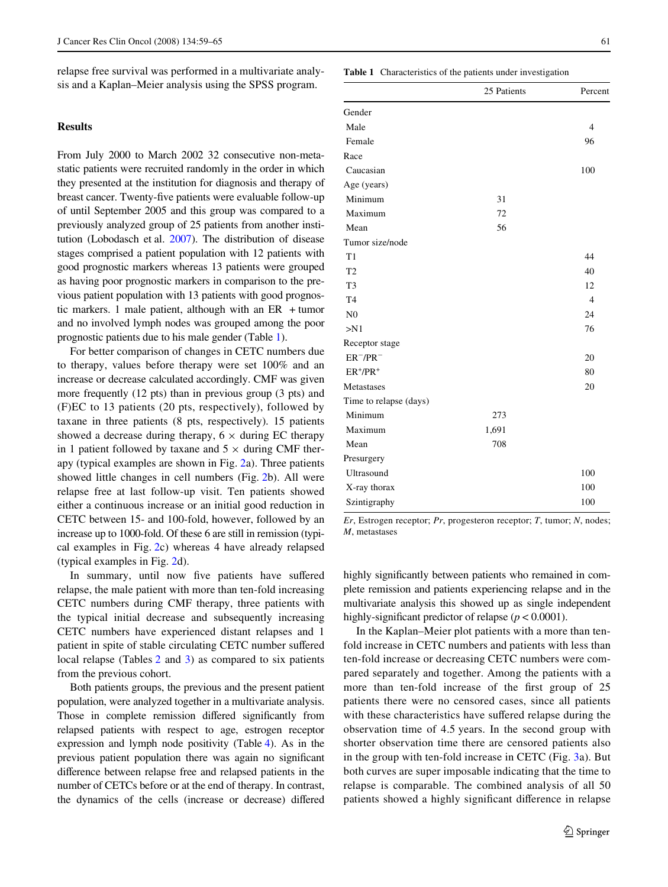relapse free survival was performed in a multivariate analysis and a Kaplan–Meier analysis using the SPSS program.

## **Results**

From July 2000 to March 2002 32 consecutive non-metastatic patients were recruited randomly in the order in which they presented at the institution for diagnosis and therapy of breast cancer. Twenty-five patients were evaluable follow-up of until September 2005 and this group was compared to a previously analyzed group of 25 patients from another institution (Lobodasch et al. [2007\)](#page-5-6). The distribution of disease stages comprised a patient population with 12 patients with good prognostic markers whereas 13 patients were grouped as having poor prognostic markers in comparison to the previous patient population with 13 patients with good prognostic markers. 1 male patient, although with an ER + tumor and no involved lymph nodes was grouped among the poor prognostic patients due to his male gender (Table [1\)](#page-2-0).

For better comparison of changes in CETC numbers due to therapy, values before therapy were set 100% and an increase or decrease calculated accordingly. CMF was given more frequently (12 pts) than in previous group (3 pts) and (F)EC to 13 patients (20 pts, respectively), followed by taxane in three patients (8 pts, respectively). 15 patients showed a decrease during therapy,  $6 \times$  during EC therapy in 1 patient followed by taxane and  $5 \times$  during CMF therapy (typical examples are shown in Fig. [2](#page-3-0)a). Three patients showed little changes in cell numbers (Fig. [2b](#page-3-0)). All were relapse free at last follow-up visit. Ten patients showed either a continuous increase or an initial good reduction in CETC between 15- and 100-fold, however, followed by an increase up to 1000-fold. Of these 6 are still in remission (typical examples in Fig. [2c](#page-3-0)) whereas 4 have already relapsed (typical examples in Fig. [2](#page-3-0)d).

In summary, until now five patients have suffered relapse, the male patient with more than ten-fold increasing CETC numbers during CMF therapy, three patients with the typical initial decrease and subsequently increasing CETC numbers have experienced distant relapses and 1 patient in spite of stable circulating CETC number suffered local relapse (Tables [2](#page-3-1) and [3\)](#page-3-2) as compared to six patients from the previous cohort.

Both patients groups, the previous and the present patient population, were analyzed together in a multivariate analysis. Those in complete remission differed significantly from relapsed patients with respect to age, estrogen receptor expression and lymph node positivity (Table [4\)](#page-3-3). As in the previous patient population there was again no significant difference between relapse free and relapsed patients in the number of CETCs before or at the end of therapy. In contrast, the dynamics of the cells (increase or decrease) differed

#### <span id="page-2-0"></span>**Table 1** Characteristics of the patients under investigation

|                        | 25 Patients | Percent        |
|------------------------|-------------|----------------|
| Gender                 |             |                |
| Male                   |             | $\overline{4}$ |
| Female                 |             | 96             |
| Race                   |             |                |
| Caucasian              |             | 100            |
| Age (years)            |             |                |
| Minimum                | 31          |                |
| Maximum                | 72          |                |
| Mean                   | 56          |                |
| Tumor size/node        |             |                |
| T1                     |             | 44             |
| T <sub>2</sub>         |             | 40             |
| T <sub>3</sub>         |             | 12             |
| T <sub>4</sub>         |             | $\overline{4}$ |
| N <sub>0</sub>         |             | 24             |
| > N1                   |             | 76             |
| Receptor stage         |             |                |
| $ER^-/PR^-$            |             | 20             |
| $ER^+/PR^+$            |             | 80             |
| Metastases             |             | 20             |
| Time to relapse (days) |             |                |
| Minimum                | 273         |                |
| Maximum                | 1,691       |                |
| Mean                   | 708         |                |
| Presurgery             |             |                |
| Ultrasound             |             | 100            |
| X-ray thorax           |             | 100            |
| Szintigraphy           |             | 100            |

*Er*, Estrogen receptor; *Pr*, progesteron receptor; *T*, tumor; *N*, nodes; *M*, metastases

highly significantly between patients who remained in complete remission and patients experiencing relapse and in the multivariate analysis this showed up as single independent highly-significant predictor of relapse ( $p < 0.0001$ ).

In the Kaplan–Meier plot patients with a more than tenfold increase in CETC numbers and patients with less than ten-fold increase or decreasing CETC numbers were compared separately and together. Among the patients with a more than ten-fold increase of the first group of 25 patients there were no censored cases, since all patients with these characteristics have suffered relapse during the observation time of 4.5 years. In the second group with shorter observation time there are censored patients also in the group with ten-fold increase in CETC (Fig. [3](#page-4-0)a). But both curves are super imposable indicating that the time to relapse is comparable. The combined analysis of all 50 patients showed a highly significant difference in relapse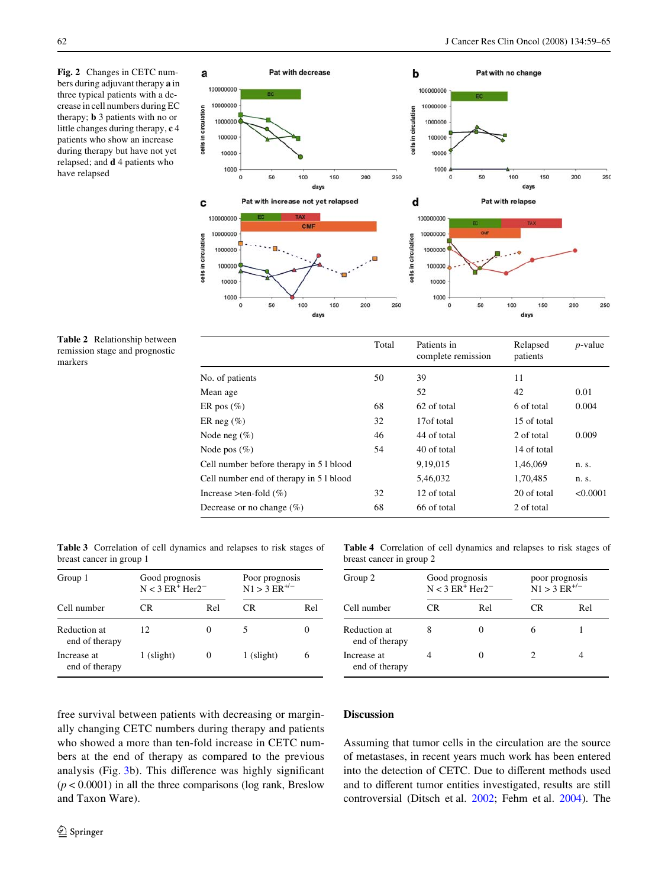<span id="page-3-0"></span>**Fig. 2** Changes in CETC numbers during adjuvant therapy **a** in three typical patients with a decrease in cell numbers during EC therapy; **b** 3 patients with no or little changes during therapy, **c** 4 patients who show an increase during therapy but have not yet relapsed; and **d** 4 patients who have relapsed



<span id="page-3-1"></span>**Table 2** Relationship between remission stage and prognostic markers

|                                         | Total | Patients in<br>complete remission | Relapsed<br>patients | $p$ -value |
|-----------------------------------------|-------|-----------------------------------|----------------------|------------|
| No. of patients                         | 50    | 39                                | 11                   |            |
| Mean age                                |       | 52                                | 42                   | 0.01       |
| ER pos $(\%)$                           | 68    | 62 of total                       | 6 of total           | 0.004      |
| ER neg $(\%)$                           | 32    | 17 of total                       | 15 of total          |            |
| Node neg $(\% )$                        | 46    | 44 of total                       | 2 of total           | 0.009      |
| Node pos $(\%)$                         | 54    | 40 of total                       | 14 of total          |            |
| Cell number before therapy in 5 l blood |       | 9,19,015                          | 1,46,069             | n. s.      |
| Cell number end of therapy in 5 l blood |       | 5,46,032                          | 1,70,485             | n. s.      |
| Increase >ten-fold $(\% )$              | 32    | 12 of total                       | 20 of total          | < 0.0001   |
| Decrease or no change $(\%)$            | 68    | 66 of total                       | 2 of total           |            |

<span id="page-3-2"></span>**Table 3** Correlation of cell dynamics and relapses to risk stages of breast cancer in group 1

| Group 1                        | Good prognosis<br>$N < 3$ ER <sup>+</sup> Her2 <sup>-1</sup> |     | Poor prognosis<br>$N1 > 3 ER+/-$ |     |
|--------------------------------|--------------------------------------------------------------|-----|----------------------------------|-----|
| Cell number                    | CR                                                           | Rel | CR.                              | Rel |
| Reduction at<br>end of therapy | 12.                                                          |     |                                  | 0   |
| Increase at<br>end of therapy  | 1 (slight)                                                   |     | $1$ (slight)                     | 6   |

<span id="page-3-3"></span>**Table 4** Correlation of cell dynamics and relapses to risk stages of breast cancer in group 2

| Group 2                        | Good prognosis<br>$N < 3$ ER <sup>+</sup> Her2 <sup>-1</sup> |     |    | poor prognosis<br>$N1 > 3 ER^{+/-}$ |  |
|--------------------------------|--------------------------------------------------------------|-----|----|-------------------------------------|--|
| Cell number                    | CR                                                           | Rel | CR | Rel                                 |  |
| Reduction at<br>end of therapy |                                                              |     |    |                                     |  |
| Increase at<br>end of therapy  |                                                              |     |    |                                     |  |

free survival between patients with decreasing or marginally changing CETC numbers during therapy and patients who showed a more than ten-fold increase in CETC numbers at the end of therapy as compared to the previous analysis (Fig.  $3b$ ). This difference was highly significant  $(p < 0.0001)$  in all the three comparisons (log rank, Breslow and Taxon Ware).

# **Discussion**

Assuming that tumor cells in the circulation are the source of metastases, in recent years much work has been entered into the detection of CETC. Due to different methods used and to different tumor entities investigated, results are still controversial (Ditsch et al. [2002](#page-5-8); Fehm et al. [2004\)](#page-5-9). The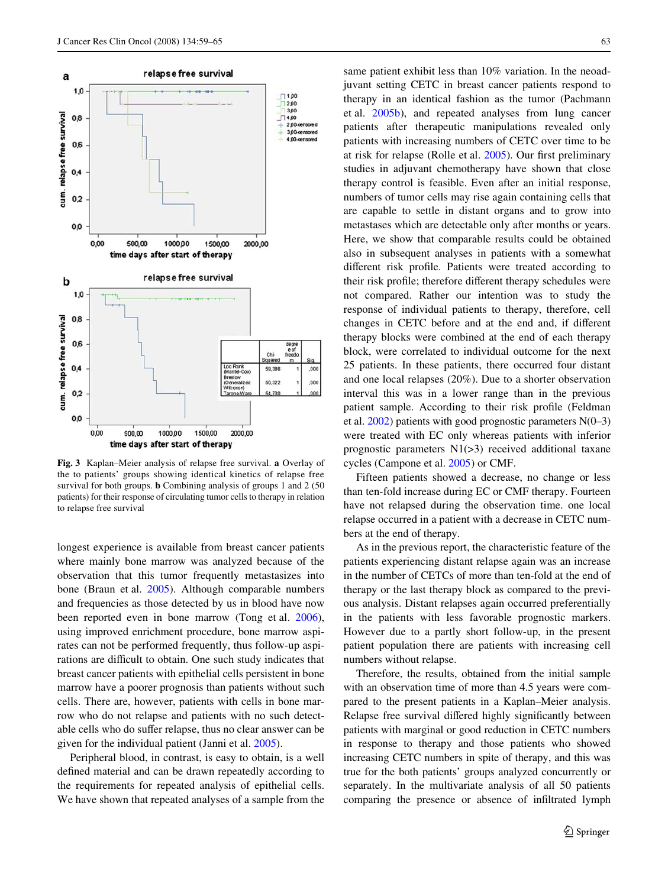

<span id="page-4-0"></span>**Fig. 3** Kaplan–Meier analysis of relapse free survival. **a** Overlay of the to patients' groups showing identical kinetics of relapse free survival for both groups. **b** Combining analysis of groups 1 and 2 (50 patients) for their response of circulating tumor cells to therapy in relation to relapse free survival

longest experience is available from breast cancer patients where mainly bone marrow was analyzed because of the observation that this tumor frequently metastasizes into bone (Braun et al. [2005](#page-5-10)). Although comparable numbers and frequencies as those detected by us in blood have now been reported even in bone marrow (Tong et al. [2006](#page-6-6)), using improved enrichment procedure, bone marrow aspirates can not be performed frequently, thus follow-up aspirations are difficult to obtain. One such study indicates that breast cancer patients with epithelial cells persistent in bone marrow have a poorer prognosis than patients without such cells. There are, however, patients with cells in bone marrow who do not relapse and patients with no such detectable cells who do suffer relapse, thus no clear answer can be given for the individual patient (Janni et al. [2005](#page-5-2)).

Peripheral blood, in contrast, is easy to obtain, is a well defined material and can be drawn repeatedly according to the requirements for repeated analysis of epithelial cells. We have shown that repeated analyses of a sample from the same patient exhibit less than 10% variation. In the neoadjuvant setting CETC in breast cancer patients respond to therapy in an identical fashion as the tumor (Pachmann et al. [2005b\)](#page-6-4), and repeated analyses from lung cancer patients after therapeutic manipulations revealed only patients with increasing numbers of CETC over time to be at risk for relapse (Rolle et al.  $2005$ ). Our first preliminary studies in adjuvant chemotherapy have shown that close therapy control is feasible. Even after an initial response, numbers of tumor cells may rise again containing cells that are capable to settle in distant organs and to grow into metastases which are detectable only after months or years. Here, we show that comparable results could be obtained also in subsequent analyses in patients with a somewhat different risk profile. Patients were treated according to their risk profile; therefore different therapy schedules were not compared. Rather our intention was to study the response of individual patients to therapy, therefore, cell changes in CETC before and at the end and, if different therapy blocks were combined at the end of each therapy block, were correlated to individual outcome for the next 25 patients. In these patients, there occurred four distant and one local relapses (20%). Due to a shorter observation interval this was in a lower range than in the previous patient sample. According to their risk profile (Feldman et al.  $2002$ ) patients with good prognostic parameters  $N(0-3)$ were treated with EC only whereas patients with inferior prognostic parameters  $N1(>3)$  received additional taxane cycles (Campone et al. [2005\)](#page-5-12) or CMF.

Fifteen patients showed a decrease, no change or less than ten-fold increase during EC or CMF therapy. Fourteen have not relapsed during the observation time. one local relapse occurred in a patient with a decrease in CETC numbers at the end of therapy.

As in the previous report, the characteristic feature of the patients experiencing distant relapse again was an increase in the number of CETCs of more than ten-fold at the end of therapy or the last therapy block as compared to the previous analysis. Distant relapses again occurred preferentially in the patients with less favorable prognostic markers. However due to a partly short follow-up, in the present patient population there are patients with increasing cell numbers without relapse.

Therefore, the results, obtained from the initial sample with an observation time of more than 4.5 years were compared to the present patients in a Kaplan–Meier analysis. Relapse free survival differed highly significantly between patients with marginal or good reduction in CETC numbers in response to therapy and those patients who showed increasing CETC numbers in spite of therapy, and this was true for the both patients' groups analyzed concurrently or separately. In the multivariate analysis of all 50 patients comparing the presence or absence of infiltrated lymph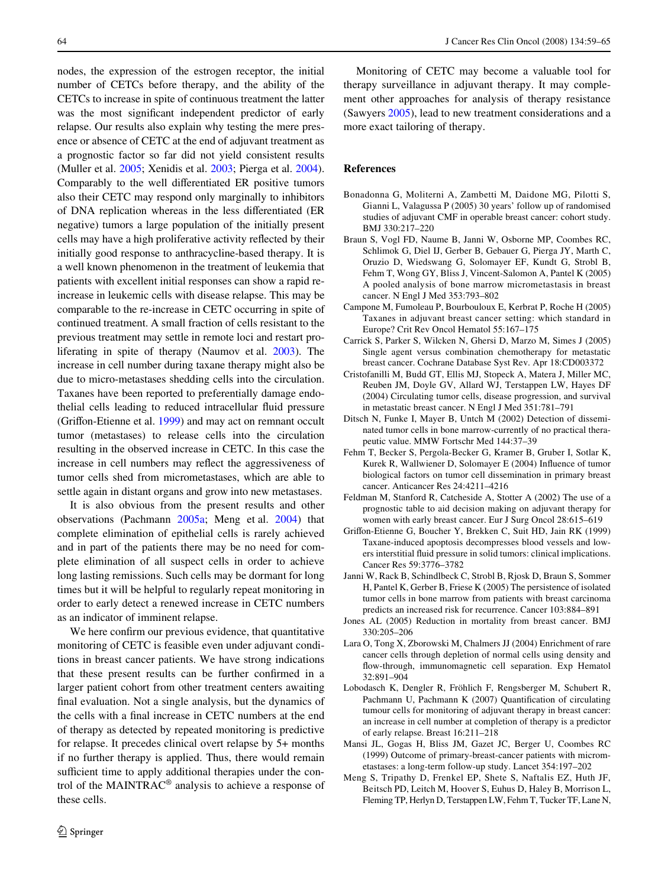nodes, the expression of the estrogen receptor, the initial number of CETCs before therapy, and the ability of the CETCs to increase in spite of continuous treatment the latter was the most significant independent predictor of early relapse. Our results also explain why testing the mere presence or absence of CETC at the end of adjuvant treatment as a prognostic factor so far did not yield consistent results (Muller et al. [2005](#page-6-1); Xenidis et al. [2003;](#page-6-8) Pierga et al. [2004](#page-6-9)). Comparably to the well differentiated ER positive tumors also their CETC may respond only marginally to inhibitors of DNA replication whereas in the less differentiated (ER negative) tumors a large population of the initially present cells may have a high proliferative activity reflected by their initially good response to anthracycline-based therapy. It is a well known phenomenon in the treatment of leukemia that patients with excellent initial responses can show a rapid reincrease in leukemic cells with disease relapse. This may be comparable to the re-increase in CETC occurring in spite of continued treatment. A small fraction of cells resistant to the previous treatment may settle in remote loci and restart proliferating in spite of therapy (Naumov et al. [2003](#page-6-10)). The increase in cell number during taxane therapy might also be due to micro-metastases shedding cells into the circulation. Taxanes have been reported to preferentially damage endothe lial cells leading to reduced intracellular fluid pressure (Griffon-Etienne et al. [1999\)](#page-5-13) and may act on remnant occult tumor (metastases) to release cells into the circulation resulting in the observed increase in CETC. In this case the increase in cell numbers may reflect the aggressiveness of tumor cells shed from micrometastases, which are able to settle again in distant organs and grow into new metastases.

It is also obvious from the present results and other observations (Pachmann [2005a;](#page-6-5) Meng et al. [2004](#page-5-14)) that complete elimination of epithelial cells is rarely achieved and in part of the patients there may be no need for complete elimination of all suspect cells in order to achieve long lasting remissions. Such cells may be dormant for long times but it will be helpful to regularly repeat monitoring in order to early detect a renewed increase in CETC numbers as an indicator of imminent relapse.

We here confirm our previous evidence, that quantitative monitoring of CETC is feasible even under adjuvant conditions in breast cancer patients. We have strong indications that these present results can be further confirmed in a larger patient cohort from other treatment centers awaiting final evaluation. Not a single analysis, but the dynamics of the cells with a final increase in CETC numbers at the end of therapy as detected by repeated monitoring is predictive for relapse. It precedes clinical overt relapse by 5+ months if no further therapy is applied. Thus, there would remain sufficient time to apply additional therapies under the control of the MAINTRAC® analysis to achieve a response of these cells.

Monitoring of CETC may become a valuable tool for therapy surveillance in adjuvant therapy. It may complement other approaches for analysis of therapy resistance (Sawyers [2005\)](#page-6-11), lead to new treatment considerations and a more exact tailoring of therapy.

#### **References**

- <span id="page-5-5"></span>Bonadonna G, Moliterni A, Zambetti M, Daidone MG, Pilotti S, Gianni L, Valagussa P (2005) 30 years' follow up of randomised studies of adjuvant CMF in operable breast cancer: cohort study. BMJ 330:217–220
- <span id="page-5-10"></span>Braun S, Vogl FD, Naume B, Janni W, Osborne MP, Coombes RC, Schlimok G, Diel IJ, Gerber B, Gebauer G, Pierga JY, Marth C, Oruzio D, Wiedswang G, Solomayer EF, Kundt G, Strobl B, Fehm T, Wong GY, Bliss J, Vincent-Salomon A, Pantel K (2005) A pooled analysis of bone marrow micrometastasis in breast cancer. N Engl J Med 353:793–802
- <span id="page-5-12"></span>Campone M, Fumoleau P, Bourbouloux E, Kerbrat P, Roche H (2005) Taxanes in adjuvant breast cancer setting: which standard in Europe? Crit Rev Oncol Hematol 55:167–175
- <span id="page-5-4"></span>Carrick S, Parker S, Wilcken N, Ghersi D, Marzo M, Simes J (2005) Single agent versus combination chemotherapy for metastatic breast cancer. Cochrane Database Syst Rev. Apr 18:CD003372
- <span id="page-5-3"></span>Cristofanilli M, Budd GT, Ellis MJ, Stopeck A, Matera J, Miller MC, Reuben JM, Doyle GV, Allard WJ, Terstappen LW, Hayes DF (2004) Circulating tumor cells, disease progression, and survival in metastatic breast cancer. N Engl J Med 351:781–791
- <span id="page-5-8"></span>Ditsch N, Funke I, Mayer B, Untch M (2002) Detection of disseminated tumor cells in bone marrow-currently of no practical therapeutic value. MMW Fortschr Med 144:37–39
- <span id="page-5-9"></span>Fehm T, Becker S, Pergola-Becker G, Kramer B, Gruber I, Sotlar K, Kurek R, Wallwiener D, Solomayer E (2004) Influence of tumor biological factors on tumor cell dissemination in primary breast cancer. Anticancer Res 24:4211–4216
- <span id="page-5-11"></span>Feldman M, Stanford R, Catcheside A, Stotter A (2002) The use of a prognostic table to aid decision making on adjuvant therapy for women with early breast cancer. Eur J Surg Oncol 28:615–619
- <span id="page-5-13"></span>Griffon-Etienne G, Boucher Y, Brekken C, Suit HD, Jain RK (1999) Taxane-induced apoptosis decompresses blood vessels and lowers interstitial fluid pressure in solid tumors: clinical implications. Cancer Res 59:3776–3782
- <span id="page-5-2"></span>Janni W, Rack B, Schindlbeck C, Strobl B, Rjosk D, Braun S, Sommer H, Pantel K, Gerber B, Friese K (2005) The persistence of isolated tumor cells in bone marrow from patients with breast carcinoma predicts an increased risk for recurrence. Cancer 103:884–891
- <span id="page-5-0"></span>Jones AL (2005) Reduction in mortality from breast cancer. BMJ 330:205–206
- <span id="page-5-7"></span>Lara O, Tong X, Zborowski M, Chalmers JJ (2004) Enrichment of rare cancer cells through depletion of normal cells using density and flow-through, immunomagnetic cell separation. Exp Hematol 32:891–904
- <span id="page-5-6"></span>Lobodasch K, Dengler R, Fröhlich F, Rengsberger M, Schubert R, Pachmann U, Pachmann K (2007) Quantification of circulating tumour cells for monitoring of adjuvant therapy in breast cancer: an increase in cell number at completion of therapy is a predictor of early relapse. Breast 16:211–218
- <span id="page-5-1"></span>Mansi JL, Gogas H, Bliss JM, Gazet JC, Berger U, Coombes RC (1999) Outcome of primary-breast-cancer patients with micrometastases: a long-term follow-up study. Lancet 354:197–202
- <span id="page-5-14"></span>Meng S, Tripathy D, Frenkel EP, Shete S, Naftalis EZ, Huth JF, Beitsch PD, Leitch M, Hoover S, Euhus D, Haley B, Morrison L, Fleming TP, Herlyn D, Terstappen LW, Fehm T, Tucker TF, Lane N,